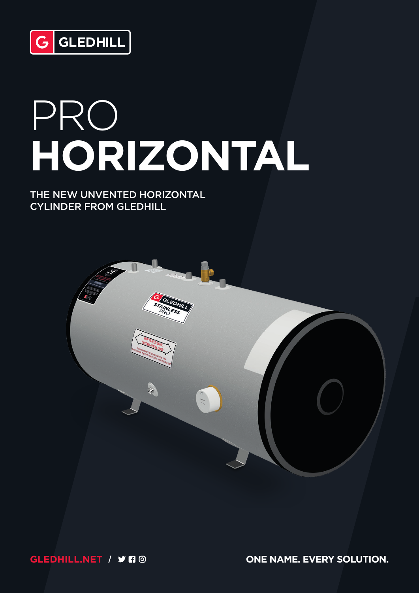

# PRO **HORIZONTAL**

#### THE NEW UNVENTED HORIZONTAL CYLINDER FROM GLEDHILL



**GLEDHILL.NET** / **J FI** @ **ONE NAME. EVERY SOLUTION.**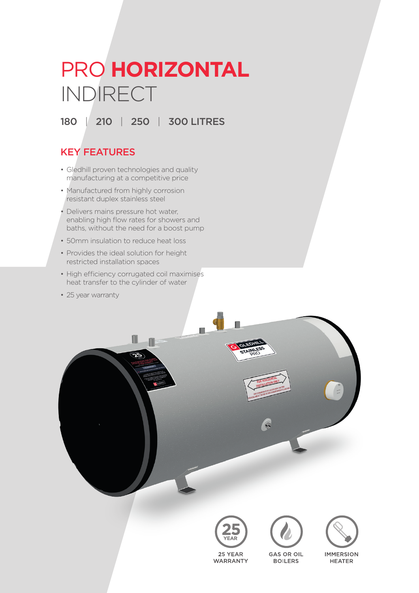# PRO **HORIZONTAL** INDIRECT

# 180 | 210 | 250 | 300 LITRES

## KEY FEATURES

- Gledhill proven technologies and quality manufacturing at a competitive price
- Manufactured from highly corrosion resistant duplex stainless steel
- Delivers mains pressure hot water, enabling high flow rates for showers and baths, without the need for a boost pump
- 50mm insulation to reduce heat loss
- Provides the ideal solution for height restricted installation spaces
- High efficiency corrugated coil maximises heat transfer to the cylinder of water

Π

Ð

• 25 year warranty





**GAS OR OIL** 

**BOILERS** 



**IMMERSION HEATER** 

# **WARRANTY**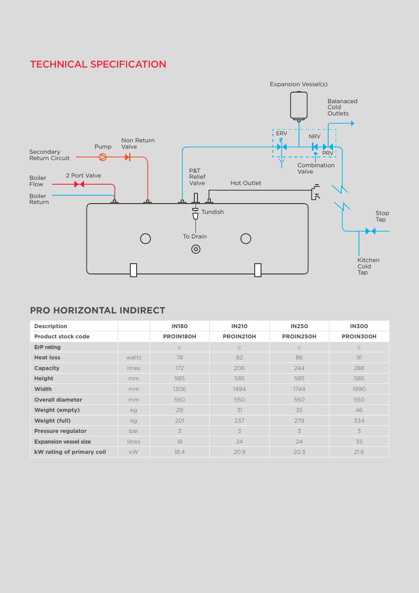## TECHNICAL SPECIFICATION



#### **PRO HORIZONTAL INDIRECT**

| <b>Description</b>           |        | <b>IN180</b>     | <b>IN210</b> | <b>IN250</b> | <b>IN300</b>     |
|------------------------------|--------|------------------|--------------|--------------|------------------|
| <b>Product stock code</b>    |        | <b>PROIN180H</b> | PROIN210H    | PROIN250H    | <b>PROIN300H</b> |
| <b>ErP</b> rating            |        | $\mathsf{C}$     | $\subset$    | $\mathsf{C}$ | $\mathsf{C}$     |
| <b>Heat loss</b>             | watts  | 78               | 82           | 86           | 91               |
| Capacity                     | litres | 172              | 206          | 244          | 288              |
| <b>Height</b>                | mm     | 585              | 585          | 585          | 585              |
| <b>Width</b>                 | mm     | 1306             | 1494         | 1744         | 1990             |
| <b>Overall diameter</b>      | mm     | 550              | 550          | 550          | 550              |
| <b>Weight (empty)</b>        | kg     | 29               | 31           | 35           | 46               |
| <b>Weight (full)</b>         | kg     | 201              | 237          | 279          | 334              |
| <b>Pressure regulator</b>    | bar    | 3                | 3            | 3            | 3                |
| <b>Expansion vessel size</b> | litres | 18               | 24           | 24           | 35               |
| kW rating of primary coil    | kW     | 18.4             | 20.9         | 20.3         | 21.6             |